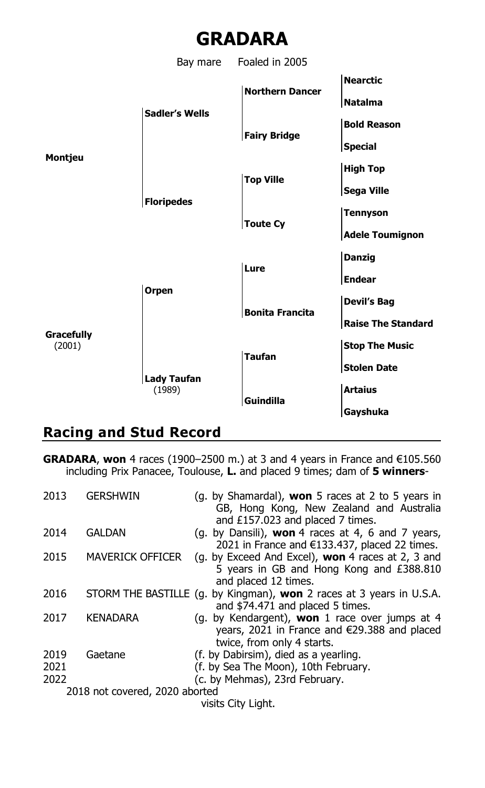# **GRADARA**

Bay mare Foaled in 2005 **Nearctic Northern Dancer Natalma Sadler's Wells Bold Reason Fairy Bridge Special Montjeu High Top Top Ville Sega Ville Floripedes Tennyson Toute Cy Adele Toumignon Danzig Lure Endear Orpen Devil's Bag Bonita Francita Raise The Standard Gracefully** (2001) **Stop The Music Taufan Stolen Date Lady Taufan** (1989) **Artaius Guindilla Gayshuka**

# **Racing and Stud Record**

**GRADARA**, **won** 4 races (1900–2500 m.) at 3 and 4 years in France and €105.560 including Prix Panacee, Toulouse, **L.** and placed 9 times; dam of **5 winners**-

| 2013         | <b>GERSHWIN</b>                | (g. by Shamardal), <b>won</b> 5 races at 2 to 5 years in<br>GB, Hong Kong, New Zealand and Australia<br>and £157.023 and placed 7 times.      |
|--------------|--------------------------------|-----------------------------------------------------------------------------------------------------------------------------------------------|
| 2014         | GALDAN                         | (g. by Dansili), won 4 races at 4, 6 and 7 years,<br>2021 in France and $E$ 133.437, placed 22 times.                                         |
| 2015         | <b>MAVERICK OFFICER</b>        | (g. by Exceed And Excel), <b>won</b> 4 races at 2, 3 and<br>5 years in GB and Hong Kong and £388.810<br>and placed 12 times.                  |
| 2016         |                                | STORM THE BASTILLE (g. by Kingman), won 2 races at 3 years in U.S.A.<br>and \$74.471 and placed 5 times.                                      |
| 2017         | <b>KENADARA</b>                | (g. by Kendargent), <b>won</b> 1 race over jumps at 4<br>years, 2021 in France and $\epsilon$ 29.388 and placed<br>twice, from only 4 starts. |
| 2019<br>2021 | Gaetane                        | (f. by Dabirsim), died as a yearling.<br>(f. by Sea The Moon), 10th February.                                                                 |
| 2022         |                                | (c. by Mehmas), 23rd February.                                                                                                                |
|              | 2018 not covered, 2020 aborted |                                                                                                                                               |
|              |                                |                                                                                                                                               |

visits City Light.